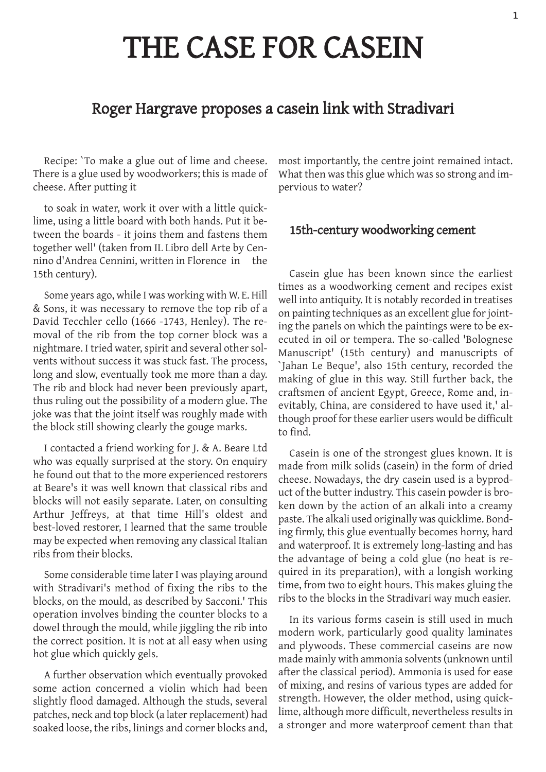# THE CASE FOR CASEIN

# Roger Hargrave proposes a casein link with Stradivari

Recipe: `To make a glue out of lime and cheese. There is a glue used by woodworkers; this is made of cheese. After putting it

to soak in water, work it over with a little quicklime, using a little board with both hands. Put it between the boards ‑ it joins them and fastens them together well' (taken from IL Libro dell Arte by Cennino d'Andrea Cennini, written in Florence in the 15th century).

Some years ago, while I was working with W. E. Hill & Sons, it was necessary to remove the top rib of a David Tecchler cello (1666 ‑1743, Henley). The removal of the rib from the top corner block was a nightmare. I tried water, spirit and several other solvents without success it was stuck fast. The process, long and slow, eventually took me more than a day. The rib and block had never been previously apart, thus ruling out the possibility of a modern glue. The joke was that the joint itself was roughly made with the block still showing clearly the gouge marks.

I contacted a friend working for J. & A. Beare Ltd who was equally surprised at the story. On enquiry he found out that to the more experienced restorers at Beare's it was well known that classical ribs and blocks will not easily separate. Later, on consulting Arthur Jeffreys, at that time Hill's oldest and best‑loved restorer, I learned that the same trouble may be expected when removing any classical Italian ribs from their blocks.

Some considerable time later I was playing around with Stradivari's method of fixing the ribs to the blocks, on the mould, as described by Sacconi.' This operation involves binding the counter blocks to a dowel through the mould, while jiggling the rib into the correct position. It is not at all easy when using hot glue which quickly gels.

A further observation which eventually provoked some action concerned a violin which had been slightly flood damaged. Although the studs, several patches, neck and top block (a later replacement) had soaked loose, the ribs, linings and corner blocks and,

most importantly, the centre joint remained intact. What then was this glue which was so strong and impervious to water?

### 15th-century woodworking cement

Casein glue has been known since the earliest times as a woodworking cement and recipes exist well into antiquity. It is notably recorded in treatises on painting techniques as an excellent glue for jointing the panels on which the paintings were to be executed in oil or tempera. The so-called 'Bolognese Manuscript' (15th century) and manuscripts of `Jahan Le Beque', also 15th century, recorded the making of glue in this way. Still further back, the craftsmen of ancient Egypt, Greece, Rome and, inevitably, China, are considered to have used it,' although proof for these earlier users would be difficult to find.

Casein is one of the strongest glues known. It is made from milk solids (casein) in the form of dried cheese. Nowadays, the dry casein used is a byproduct of the butter industry. This casein powder is broken down by the action of an alkali into a creamy paste. The alkali used originally was quicklime. Bonding firmly, this glue eventually becomes horny, hard and waterproof. It is extremely long‑lasting and has the advantage of being a cold glue (no heat is required in its preparation), with a longish working time, from two to eight hours. This makes gluing the ribs to the blocks in the Stradivari way much easier.

In its various forms casein is still used in much modern work, particularly good quality laminates and plywoods. These commercial caseins are now made mainly with ammonia solvents(unknown until after the classical period). Ammonia is used for ease of mixing, and resins of various types are added for strength. However, the older method, using quicklime, although more difficult, nevertheless results in a stronger and more waterproof cement than that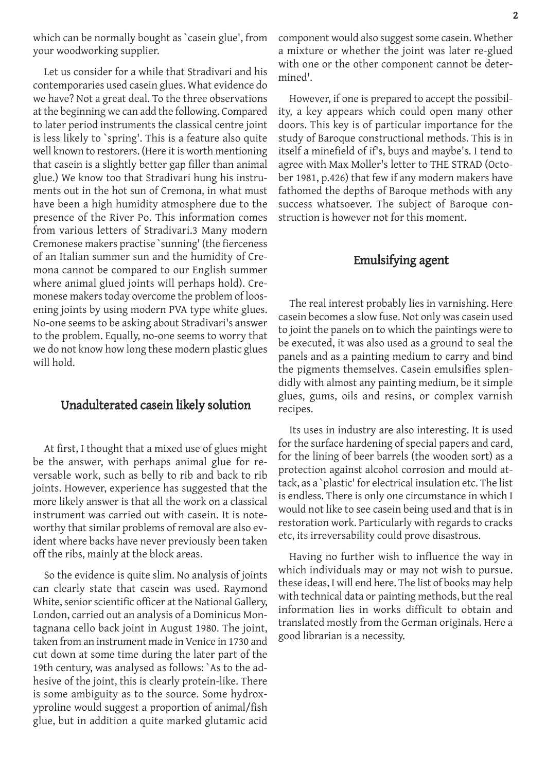which can be normally bought as 'casein glue', from your woodworking supplier.

Let us consider for a while that Stradivari and his contemporaries used casein glues. What evidence do we have? Not a great deal. To the three observations at the beginning we can add the following. Compared to later period instruments the classical centre joint is less likely to `spring'. This is a feature also quite well known to restorers. (Here it is worth mentioning that casein is a slightly better gap filler than animal glue.) We know too that Stradivari hung his instruments out in the hot sun of Cremona, in what must have been a high humidity atmosphere due to the presence of the River Po. This information comes from various letters of Stradivari.3 Many modern Cremonese makers practise `sunning' (the fierceness of an Italian summer sun and the humidity of Cremona cannot be compared to our English summer where animal glued joints will perhaps hold). Cremonese makers today overcome the problem of loosening joints by using modern PVA type white glues. No‑one seems to be asking about Stradivari's answer to the problem. Equally, no‑one seems to worry that we do not know how long these modern plastic glues will hold.

#### Unadulterated casein likely solution

At first, I thought that a mixed use of glues might be the answer, with perhaps animal glue for reversable work, such as belly to rib and back to rib joints. However, experience has suggested that the more likely answer is that all the work on a classical instrument was carried out with casein. It is noteworthy that similar problems of removal are also evident where backs have never previously been taken off the ribs, mainly at the block areas.

So the evidence is quite slim. No analysis of joints can clearly state that casein was used. Raymond White, senior scientific officer at the National Gallery, London, carried out an analysis of a Dominicus Montagnana cello back joint in August 1980. The joint, taken from an instrument made in Venice in 1730 and cut down at some time during the later part of the 19th century, was analysed as follows: `As to the adhesive of the joint, this is clearly protein-like. There is some ambiguity as to the source. Some hydroxyproline would suggest a proportion of animal/fish glue, but in addition a quite marked glutamic acid component would also suggest some casein. Whether a mixture or whether the joint was later re‑glued with one or the other component cannot be determined'.

However, if one is prepared to accept the possibility, a key appears which could open many other doors. This key is of particular importance for the study of Baroque constructional methods. This is in itself a minefield of if's, buys and maybe's. I tend to agree with Max Moller's letter to THE STRAD (October 1981, p.426) that few if any modern makers have fathomed the depths of Baroque methods with any success whatsoever. The subject of Baroque construction is however not for this moment.

## Emulsifying agent

The real interest probably lies in varnishing. Here casein becomes a slow fuse. Not only was casein used to joint the panels on to which the paintings were to be executed, it was also used as a ground to seal the panels and as a painting medium to carry and bind the pigments themselves. Casein emulsifies splendidly with almost any painting medium, be it simple glues, gums, oils and resins, or complex varnish recipes.

Its uses in industry are also interesting. It is used for the surface hardening of special papers and card, for the lining of beer barrels (the wooden sort) as a protection against alcohol corrosion and mould attack, as a `plastic' for electrical insulation etc. The list is endless. There is only one circumstance in which I would not like to see casein being used and that is in restoration work. Particularly with regards to cracks etc, its irreversability could prove disastrous.

Having no further wish to influence the way in which individuals may or may not wish to pursue. these ideas, I will end here. The list of books may help with technical data or painting methods, but the real information lies in works difficult to obtain and translated mostly from the German originals. Here a good librarian is a necessity.